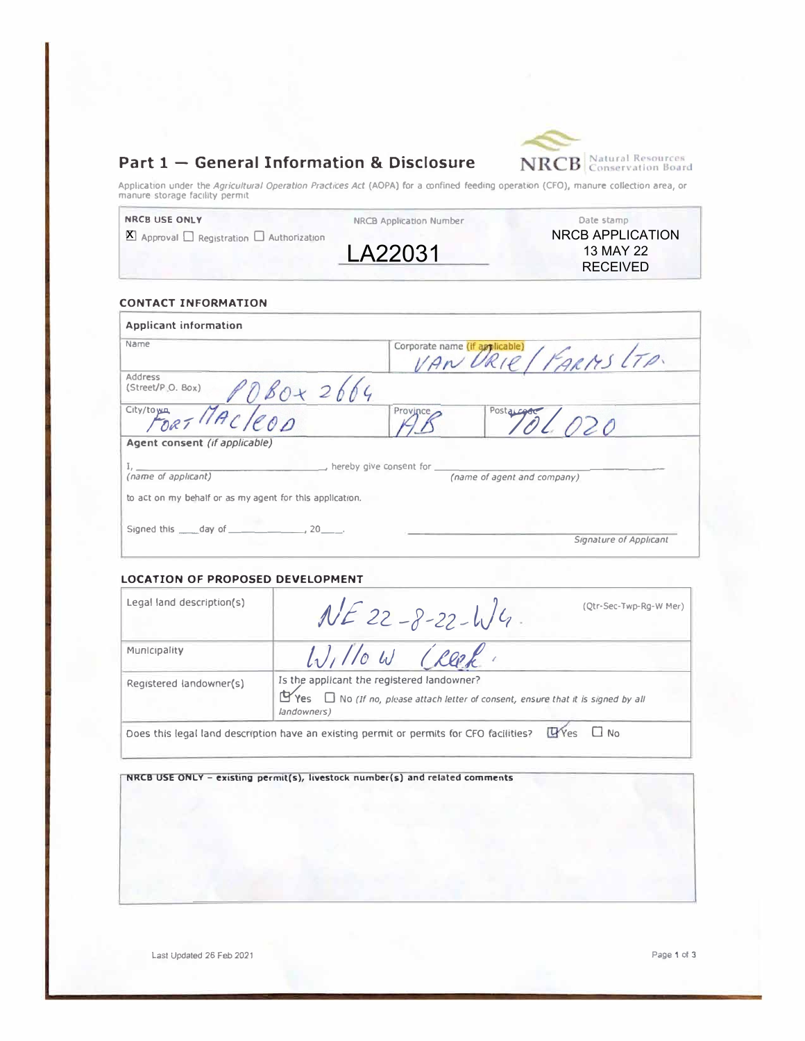



Application under the *Agricultural Operation Practices Act* (AOPA) for a confined feeding operation (CFO), manure collection area, or<br>manure storage facility permit

| <b>NRCB USE ONLY</b>                                                    | NRCB Application Number | Date stamp       |  |
|-------------------------------------------------------------------------|-------------------------|------------------|--|
| $\sum_{i=1}^{\infty}$ Approval $\sum$ Registration $\sum$ Authorization |                         | NRCB APPLICATION |  |
|                                                                         | LA22031                 | 13 MAY 22        |  |
|                                                                         |                         | <b>RECEIVED</b>  |  |

## **CONTACT INFORMATION**

| Name                                                      |                         | Corporate name (if applicable)<br>RIE / FARMS LTA. |  |  |
|-----------------------------------------------------------|-------------------------|----------------------------------------------------|--|--|
| <b>Address</b><br>(Street/P.O. Box)                       | 26                      |                                                    |  |  |
| City/toma - MAC/COD                                       | Province,               | Postalegar                                         |  |  |
| Agent consent (if applicable)                             |                         |                                                    |  |  |
|                                                           | hereby give consent for |                                                    |  |  |
| (name of applicant)                                       |                         | (name of agent and company)                        |  |  |
| to act on my behalf or as my agent for this application.  |                         |                                                    |  |  |
|                                                           |                         |                                                    |  |  |
| Signed this $\_\_\_$ day of $\_\_\_\_\_$ , 20 $\_\_\_\$ . |                         |                                                    |  |  |

## **LOCATION OF PROPOSED DEVELOPMENT**

| Legal land description(s) | (Qtr-Sec-Twp-Rg-W Mer)<br>$NE$ 22-8-22-4/4.                                                                                                                      |
|---------------------------|------------------------------------------------------------------------------------------------------------------------------------------------------------------|
| Municipality              | Willow Creek                                                                                                                                                     |
| Registered landowner(s)   | Is the applicant the registered landowner?<br>$\mathbf{Y}$ Yes $\Box$ No (If no, please attach letter of consent, ensure that it is signed by all<br>landowners) |
|                           | $\mathbb{Q}$ Yes $\Box$ No.<br>Does this legal land description have an existing permit or permits for CFO facilities?                                           |

### **NRCB USE ONLY -** existing permit(s), livestock number(s) and related comments